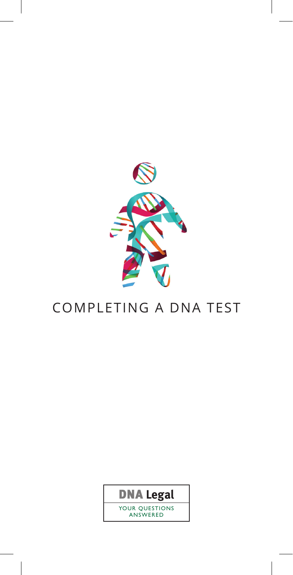

# COMPLETING A DNA TEST

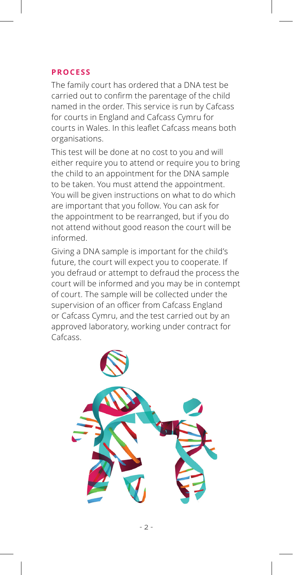## **process**

The family court has ordered that a DNA test be carried out to confirm the parentage of the child named in the order. This service is run by Cafcass for courts in England and Cafcass Cymru for courts in Wales. In this leaflet Cafcass means both organisations.

This test will be done at no cost to you and will either require you to attend or require you to bring the child to an appointment for the DNA sample to be taken. You must attend the appointment. You will be given instructions on what to do which are important that you follow. You can ask for the appointment to be rearranged, but if you do not attend without good reason the court will be informed.

Giving a DNA sample is important for the child's future, the court will expect you to cooperate. If you defraud or attempt to defraud the process the court will be informed and you may be in contempt of court. The sample will be collected under the supervision of an officer from Cafcass England or Cafcass Cymru, and the test carried out by an approved laboratory, working under contract for Cafcass.

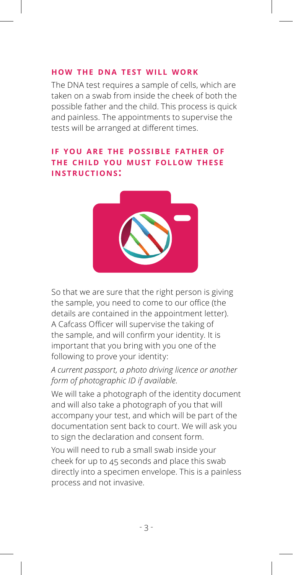## **how the dna test will work**

The DNA test requires a sample of cells, which are taken on a swab from inside the cheek of both the possible father and the child. This process is quick and painless. The appointments to supervise the tests will be arranged at different times.

# **if you are the possible father of the child you must follow these instructions:**



So that we are sure that the right person is giving the sample, you need to come to our office (the details are contained in the appointment letter). A Cafcass Officer will supervise the taking of the sample, and will confirm your identity. It is important that you bring with you one of the following to prove your identity:

# *A current passport, a photo driving licence or another form of photographic ID if available*.

We will take a photograph of the identity document and will also take a photograph of you that will accompany your test, and which will be part of the documentation sent back to court. We will ask you to sign the declaration and consent form.

You will need to rub a small swab inside your cheek for up to 45 seconds and place this swab directly into a specimen envelope. This is a painless process and not invasive.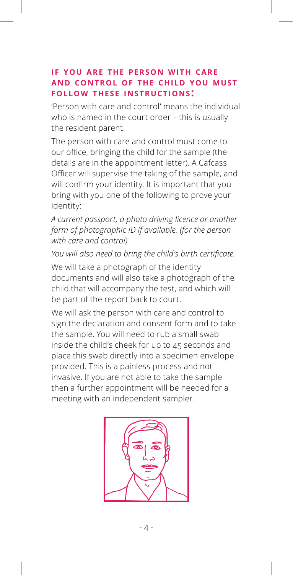## **if you are the person with care and control of the child you must follow these instructions:**

'Person with care and control' means the individual who is named in the court order – this is usually the resident parent.

The person with care and control must come to our office, bringing the child for the sample (the details are in the appointment letter). A Cafcass Officer will supervise the taking of the sample, and will confirm your identity. It is important that you bring with you one of the following to prove your identity:

*A current passport, a photo driving licence or another form of photographic ID if available. (for the person with care and control).*

*You will also need to bring the child's birth certificate.*

We will take a photograph of the identity documents and will also take a photograph of the child that will accompany the test, and which will be part of the report back to court.

We will ask the person with care and control to sign the declaration and consent form and to take the sample. You will need to rub a small swab inside the child's cheek for up to 45 seconds and place this swab directly into a specimen envelope provided. This is a painless process and not invasive. If you are not able to take the sample then a further appointment will be needed for a meeting with an independent sampler.

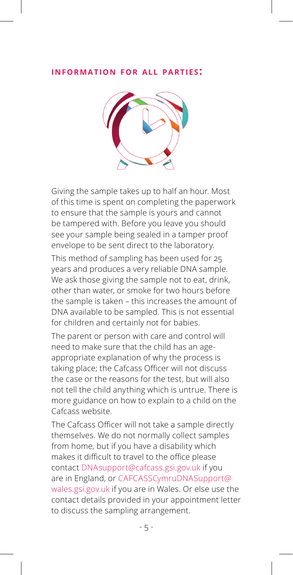#### **information for all parties:**



Giving the sample takes up to half an hour. Most of this time is spent on completing the paperwork to ensure that the sample is yours and cannot be tampered with. Before you leave you should see your sample being sealed in a tamper proof envelope to be sent direct to the laboratory.

This method of sampling has been used for 25 years and produces a very reliable DNA sample. We ask those giving the sample not to eat, drink, other than water, or smoke for two hours before the sample is taken – this increases the amount of DNA available to be sampled. This is not essential for children and certainly not for babies.

The parent or person with care and control will need to make sure that the child has an ageappropriate explanation of why the process is taking place; the Cafcass Officer will not discuss the case or the reasons for the test, but will also not tell the child anything which is untrue. There is more guidance on how to explain to a child on the Cafcass website.

The Cafcass Officer will not take a sample directly themselves. We do not normally collect samples from home, but if you have a disability which makes it difficult to travel to the office please contact DNAsupport@cafcass.gsi.gov.uk if you are in England, or CAFCASSCymruDNASupport@ wales.gsi.gov.uk if you are in Wales. Or else use the contact details provided in your appointment letter to discuss the sampling arrangement.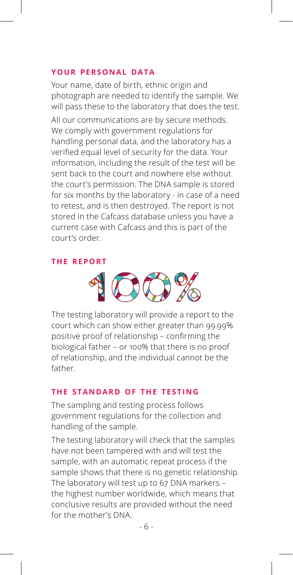#### **your personal data**

Your name, date of birth, ethnic origin and photograph are needed to identify the sample. We will pass these to the laboratory that does the test.

All our communications are by secure methods. We comply with government regulations for handling personal data, and the laboratory has a verified equal level of security for the data. Your information, including the result of the test will be sent back to the court and nowhere else without the court's permission. The DNA sample is stored for six months by the laboratory - in case of a need to retest, and is then destroyed. The report is not stored in the Cafcass database unless you have a current case with Cafcass and this is part of the court's order.

#### **the report**



The testing laboratory will provide a report to the court which can show either greater than 99.99% positive proof of relationship – confirming the biological father – or 100% that there is no proof of relationship, and the individual cannot be the father.

#### **the standard of the testing**

The sampling and testing process follows government regulations for the collection and handling of the sample.

The testing laboratory will check that the samples have not been tampered with and will test the sample, with an automatic repeat process if the sample shows that there is no genetic relationship. The laboratory will test up to 67 DNA markers – the highest number worldwide, which means that conclusive results are provided without the need for the mother's DNA.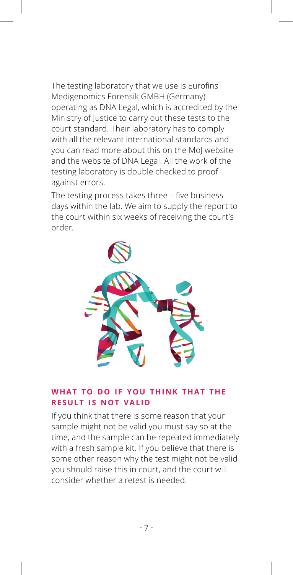The testing laboratory that we use is Eurofins Medigenomics Forensik GMBH (Germany) operating as DNA Legal, which is accredited by the Ministry of Justice to carry out these tests to the court standard. Their laboratory has to comply with all the relevant international standards and you can read more about this on the MoJ website and the website of DNA Legal. All the work of the testing laboratory is double checked to proof against errors.

The testing process takes three – five business days within the lab. We aim to supply the report to the court within six weeks of receiving the court's order.



## **what to do if you think that the result is not valid**

If you think that there is some reason that your sample might not be valid you must say so at the time, and the sample can be repeated immediately with a fresh sample kit. If you believe that there is some other reason why the test might not be valid you should raise this in court, and the court will consider whether a retest is needed.